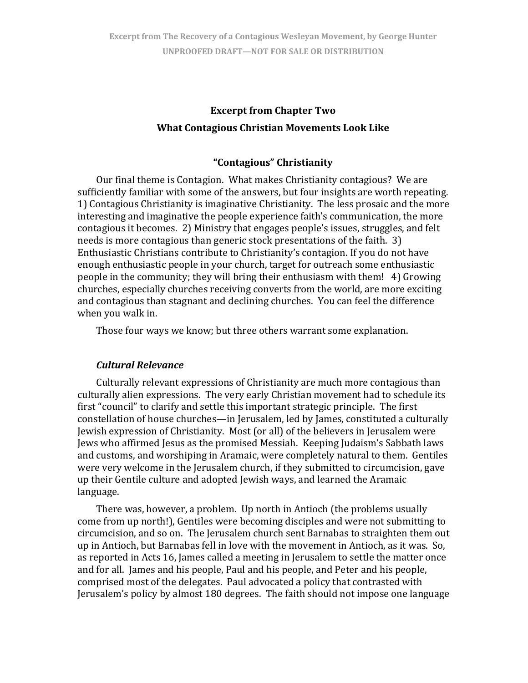# **Excerpt from Chapter Two What Contagious Christian Movements Look Like**

## **"Contagious" Christianity**

Our final theme is Contagion. What makes Christianity contagious? We are sufficiently familiar with some of the answers, but four insights are worth repeating. 1) Contagious Christianity is imaginative Christianity. The less prosaic and the more interesting and imaginative the people experience faith's communication, the more contagious it becomes. 2) Ministry that engages people's issues, struggles, and felt needs is more contagious than generic stock presentations of the faith. 3) Enthusiastic Christians contribute to Christianity's contagion. If you do not have enough enthusiastic people in your church, target for outreach some enthusiastic people in the community; they will bring their enthusiasm with them! 4) Growing churches, especially churches receiving converts from the world, are more exciting and contagious than stagnant and declining churches. You can feel the difference whe n you walk in.

Those four ways we know; but three others warrant some explanation.

#### *Cultural Relevance*

Culturally relevant expressions of Christianity are much more contagious than culturally alien expressions. The very early Christian movement had to schedule its first "council" to clarify and settle this important strategic principle. The first constellation of house churches—in Jerusalem, led by James, constituted a culturally Jewish expression of Christianity. Most (or all) of the believers in Jerusalem were Jews who affirmed Jesus as the promised Messiah. Keeping Judaism's Sabbath laws and customs, and worshiping in Aramaic, were completely natural to them. Gentiles were very welcome in the Jerusalem church, if they submitted to circumcision, gave up their Gentile culture and adopted Jewish ways, and learned the Aramaic language.

There was, however, a problem. Up north in Antioch (the problems usually come from up north!), Gentiles were becoming disciples and were not submitting to circumcision, and so on. The Jerusalem church sent Barnabas to straighten them out up in Antioch, but Barnabas fell in love with the movement in Antioch, as it was. So, as reported in Acts 16, James called a meeting in Jerusalem to settle the matter once and for all. James and his people, Paul and his people, and Peter and his people, comprised most of the delegates. Paul advocated a policy that contrasted with Jerusalem's policy by almost 180 degrees. The faith should not impose one language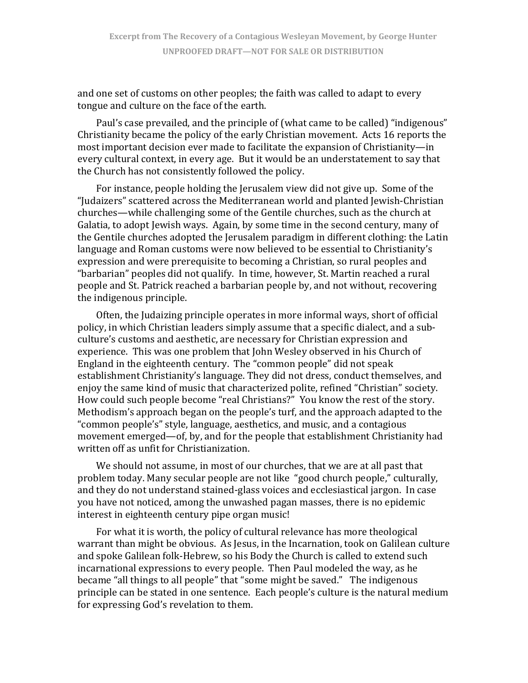and one set of customs on other peoples; the faith was called to adapt to every tongue and culture on the face of the earth.

Paul's case prevailed, and the principle of (what came to be called) "indigenous" Christianity became the policy of the early Christian movement. Acts 16 reports the most important decision ever made to facilitate the expansion of Christianity—in every cultural context, in every age. But it would be an understatement to say that the Church has not consistently followed the policy.

For instance, people holding the Jerusalem view did not give up. Some of the "Judaizers" scattered across the Mediterranean world and planted Jewish‐Christian churches—while challenging some of the Gentile churches, such as the church at Galatia, to adopt Jewish ways. Again, by some time in the second century, many of the Gentile churches adopted the Jerusalem paradigm in different clothing: the Latin language and Roman customs were now believed to be essential to Christianity's expression and were prerequisite to becoming a Christian, so rural peoples and "barbarian" peoples did not qualify. In time, however, St. Martin reached a rural people and St. Patrick reached a barbarian people by, and not without, recovering the indigenous principle.

Often, the Judaizing principle operates in more informal ways, short of official policy, in which Christian leaders simply assume that a specific dialect, and a sub‐ culture's customs and aesthetic, are necessary for Christian expression and experience. This was one problem that John Wesley observed in his Church of England in the eighteenth century. The "common people" did not speak establishment Christianity's language. They did not dress, conduct themselves, and enjoy the same kind of music that characterized polite, refined "Christian" society. How could such people become "real Christians?" You know the rest of the story. Methodism's approach began on the people's turf, and the approach adapted to the "common people's" style, language, aesthetics, and music, and a contagious movement emerged—of, by, and for the people that establishment Christianity had written off as unfit for Christianization.

We should not assume, in most of our churches, that we are at all past that problem today. Many secular people are not like "good church people," culturally, and they do not understand stained‐glass voices and ecclesiastical jargon. In case you have not noticed, among the unwashed pagan masses, there is no epidemic interest in eighteenth century pipe organ music!

For what it is worth, the policy of cultural relevance has more theological warrant than might be obvious. As Jesus, in the Incarnation, took on Galilean culture and spoke Galilean folk‐Hebrew, so his Body the Church is called to extend such incarnational expressions to every people. Then Paul modeled the way, as he became "all things to all people" that "some might be saved." The indigenous principle can be stated in one sentence. Each people's culture is the natural medium for expressing God's revelation to them.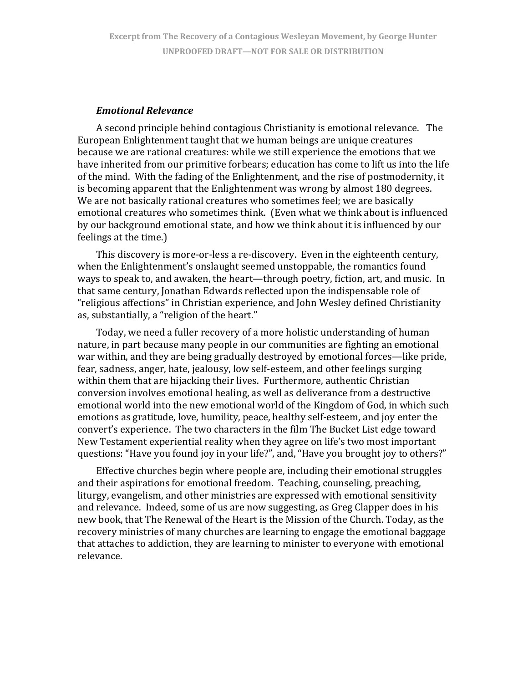#### *Emotional Relevance*

A second principle behind contagious Christianity is emotional relevance. The European Enlightenment taught that we human beings are unique creatures because we are rational creatures: while we still experience the emotions that we have inherited from our primitive forbears; education has come to lift us into the life of the mind. With the fading of the Enlightenment, and the rise of postmodernity, it is becoming apparent that the Enlightenment was wrong by almost 180 degrees. We are not basically rational creatures who sometimes feel; we are basically emotional creatures who sometimes think. (Even what we think about is influenced by our background emotional state, and how we think about it is influenced by our feelings at the time.)

This discovery is more‐or‐less a re‐discovery. Even in the eighteenth century, when the Enlightenment's onslaught seemed unstoppable, the romantics found ways to speak to, and awaken, the heart—through poetry, fiction, art, and music. In that same century, Jonathan Edwards reflected upon the indispensable role of "religious affections" in Christian experience, and John Wesley defined Christianity as, s ubstantially, a "religion of the heart."

Today, we need a fuller recovery of a more holistic understanding of human nature, in part because many people in our communities are fighting an emotional war within, and they are being gradually destroyed by emotional forces—like pride, fear, sadness, anger, hate, jealousy, low self‐esteem, and other feelings surging within them that are hijacking their lives. Furthermore, authentic Christian conversion involves emotional healing, as well as deliverance from a destructive emotional world into the new emotional world of the Kingdom of God, in which such emotions as gratitude, love, humility, peace, healthy self‐esteem, and joy enter the convert's experience. The two characters in the film The Bucket List edge toward New Testament experiential reality when they agree on life's two most important questions: "Have you found joy in your life?", and, "Have you brought joy to others?"

Effective churches begin where people are, including their emotional struggles and their aspirations for emotional freedom. Teaching, counseling, preaching, liturgy, evangelism, and other ministries are expressed with emotional sensitivity and relevance. Indeed, some of us are now suggesting, as Greg Clapper does in his new book, that The Renewal of the Heart is the Mission of the Church. Today, as the recovery ministries of many churches are learning to engage the emotional baggage that attaches to addiction, they are learning to minister to everyone with emotional relevance.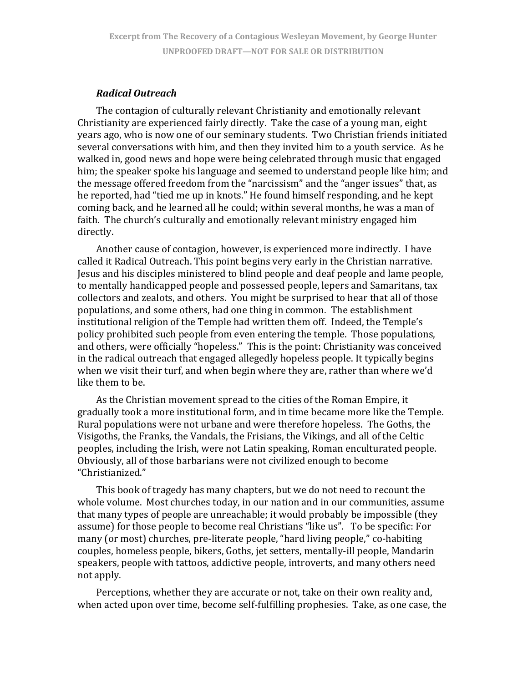### *Radical Outreach*

The contagion of culturally relevant Christianity and emotionally relevant Christianity are experienced fairly directly. Take the case of a young man, eight years ago, who is now one of our seminary students. Two Christian friends initiated several conversations with him, and then they invited him to a youth service. As he walked in, good news and hope were being celebrated through music that engaged him; the speaker spoke his language and seemed to understand people like him; and the message offered freedom from the "narcissism" and the "anger issues" that, as he reported, had "tied me up in knots." He found himself responding, and he kept coming back, and he learned all he could; within several months, he was a man of faith. The church's culturally and emotionally relevant ministry engaged him directly.

Another cause of contagion, however, is experienced more indirectly. I have called it Radical Outreach. This point begins very early in the Christian narrative. Jesus and his disciples ministered to blind people and deaf people and lame people, to mentally handicapped people and possessed people, lepers and Samaritans, tax collectors and zealots, and others. You might be surprised to hear that all of those populations, and some others, had one thing in common. The establishment institutional religion of the Temple had written them off. Indeed, the Temple's policy prohibited such people from even entering the temple. Those populations, and others, were officially "hopeless." This is the point: Christianity was conceived in the radical outreach that engaged allegedly hopeless people. It typically begins when we visit their turf, and when begin where they are, rather than where we'd like them to be.

As the Christian movement spread to the cities of the Roman Empire, it gradually took a more institutional form, and in time became more like the Temple. Rural populations were not urbane and were therefore hopeless. The Goths, the Visigoths, the Franks, the Vandals, the Frisians, the Vikings, and all of the Celtic peoples, including the Irish, were not Latin speaking, Roman enculturated people. Obviously, all of those barbarians were not civilized enough to become "Christianized."

This book of tragedy has many chapters, but we do not need to recount the whole volume. Most churches today, in our nation and in our communities, assume that many types of people are unreachable; it would probably be impossible (they assume) for those people to become real Christians "like us". To be specific: For many (or most) churches, pre-literate people, "hard living people," co-habiting couples, homeless people, bikers, Goths, jet setters, mentally‐ill people, Mandarin speakers, people with tattoos, addictive people, introverts, and many others need not apply.

Perceptions, whether they are accurate or not, take on their own reality and, when acted upon over time, become self-fulfilling prophesies. Take, as one case, the